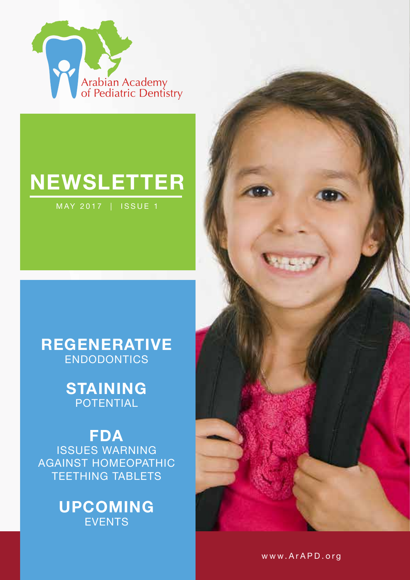

# **NEWSLETTER**

MAY 2017 | ISSUE 1

### **REGENERATIVE** ENDODONTICS

## **STAINING** POTENTIAL

**FDA** ISSUES WARNING AGAINST HOMEOPATHIC TEETHING TABLETS

### **UPCOMING EVENTS**



www.ArAPD.org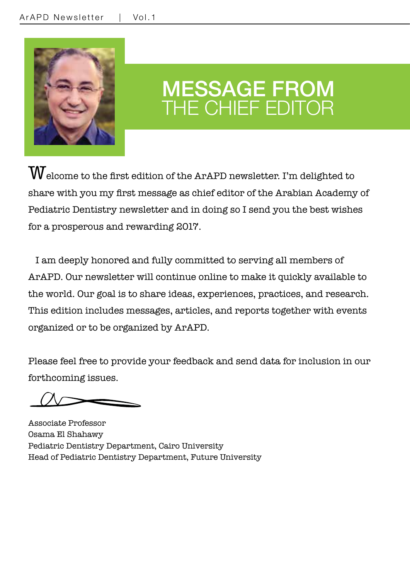

## MESSAGE FROM THE CHIEF EDITOR

 $\rm W$ elcome to the first edition of the ArAPD newsletter. I'm delighted to share with you my first message as chief editor of the Arabian Academy of Pediatric Dentistry newsletter and in doing so I send you the best wishes for a prosperous and rewarding 2017.

 I am deeply honored and fully committed to serving all members of ArAPD. Our newsletter will continue online to make it quickly available to the world. Our goal is to share ideas, experiences, practices, and research. This edition includes messages, articles, and reports together with events organized or to be organized by ArAPD.

Please feel free to provide your feedback and send data for inclusion in our forthcoming issues.

Associate Professor Osama El Shahawy Pediatric Dentistry Department, Cairo University Head of Pediatric Dentistry Department, Future University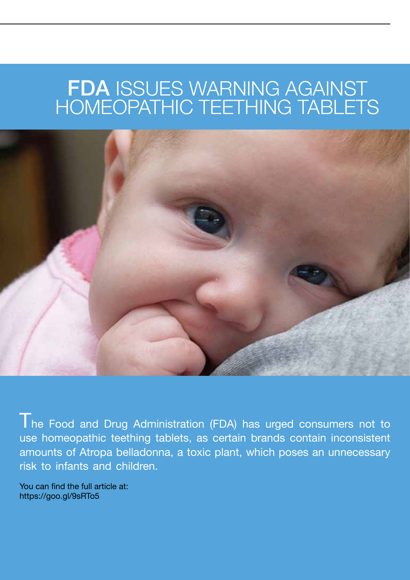## FDA ISSUES WARNING AGAINST HOMEOPATHIC TEETHING TABLETS



The Food and Drug Administration (FDA) has urged consumers not to use homeopathic teething tablets, as certain brands contain inconsistent amounts of Atropa belladonna, a toxic plant, which poses an unnecessary risk to infants and children.

You can find the full article at: https://goo.gl/9sRTo5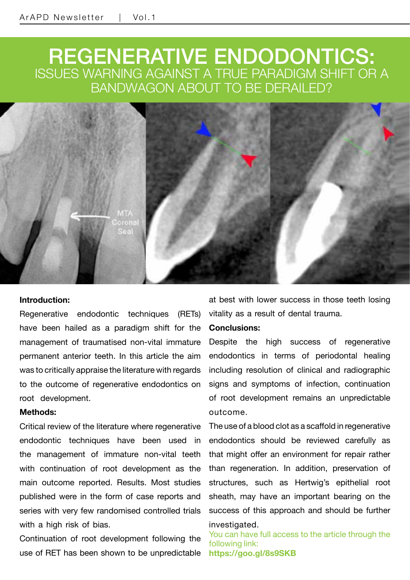## REGENERATIVE ENDODONTICS: ISSUES WARNING AGAINST A TRUE PARADIGM SHIFT OR A BANDWAGON ABOUT TO BE DERAILED?



#### **Introduction:**

Regenerative endodontic techniques (RETs) have been hailed as a paradigm shift for the management of traumatised non-vital immature permanent anterior teeth. In this article the aim was to critically appraise the literature with regards to the outcome of regenerative endodontics on root development.

#### **Methods:**

Critical review of the literature where regenerative endodontic techniques have been used in the management of immature non-vital teeth with continuation of root development as the main outcome reported. Results. Most studies published were in the form of case reports and series with very few randomised controlled trials with a high risk of bias.

Continuation of root development following the use of RET has been shown to be unpredictable

at best with lower success in those teeth losing vitality as a result of dental trauma.

#### **Conclusions:**

Despite the high success of regenerative endodontics in terms of periodontal healing including resolution of clinical and radiographic signs and symptoms of infection, continuation of root development remains an unpredictable outcome.

The use of a blood clot as a scaffold in regenerative endodontics should be reviewed carefully as that might offer an environment for repair rather than regeneration. In addition, preservation of structures, such as Hertwig's epithelial root sheath, may have an important bearing on the success of this approach and should be further investigated.

You can have full access to the article through the following link: **https://goo.gl/8s9SKB**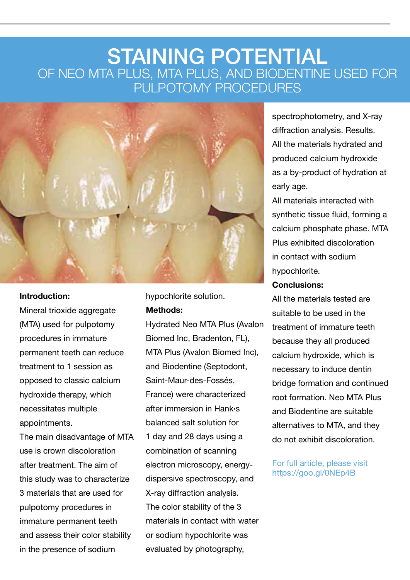## STAINING POTENTIAL OF NEO MTA PLUS, MTA PLUS, AND BIODENTINE USED FOR PULPOTOMY PROCEDURES



#### **Introduction:**

Mineral trioxide aggregate (MTA) used for pulpotomy procedures in immature permanent teeth can reduce treatment to 1 session as opposed to classic calcium hydroxide therapy, which necessitates multiple appointments.

The main disadvantage of MTA use is crown discoloration after treatment. The aim of this study was to characterize 3 materials that are used for pulpotomy procedures in immature permanent teeth and assess their color stability in the presence of sodium

hypochlorite solution. **Methods:**

Hydrated Neo MTA Plus (Avalon Biomed Inc, Bradenton, FL), MTA Plus (Avalon Biomed Inc), and Biodentine (Septodont, Saint-Maur-des-Fossés, France) were characterized after immersion in Hank›s balanced salt solution for 1 day and 28 days using a combination of scanning electron microscopy, energydispersive spectroscopy, and X-ray diffraction analysis. The color stability of the 3 materials in contact with water or sodium hypochlorite was evaluated by photography,

spectrophotometry, and X-ray diffraction analysis. Results. All the materials hydrated and produced calcium hydroxide as a by-product of hydration at early age.

All materials interacted with synthetic tissue fluid, forming a calcium phosphate phase. MTA Plus exhibited discoloration in contact with sodium hypochlorite.

#### **Conclusions:**

All the materials tested are suitable to be used in the treatment of immature teeth because they all produced calcium hydroxide, which is necessary to induce dentin bridge formation and continued root formation. Neo MTA Plus and Biodentine are suitable alternatives to MTA, and they do not exhibit discoloration.

#### For full article, please visit https://goo.gl/0NEp4B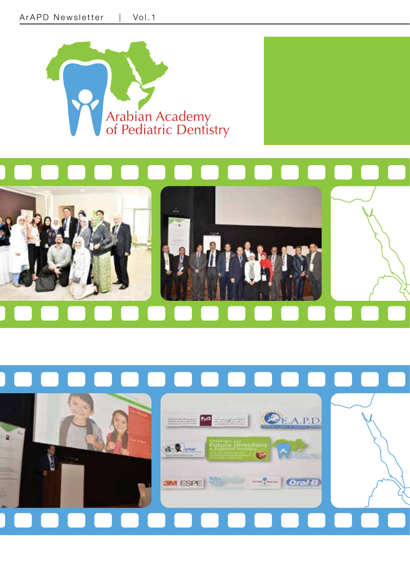



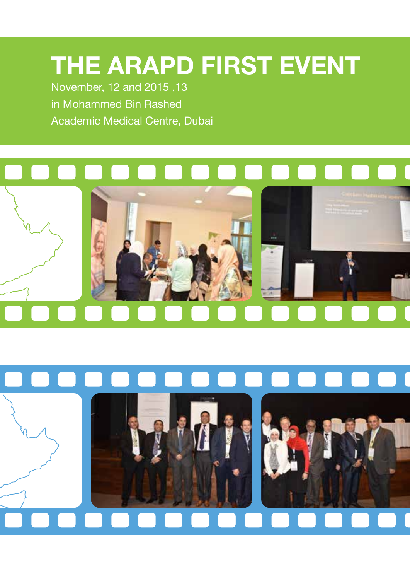# **THE ARAPD FIRST EVENT**

November, 12 and 2015 ,13 in Mohammed Bin Rashed Academic Medical Centre, Dubai



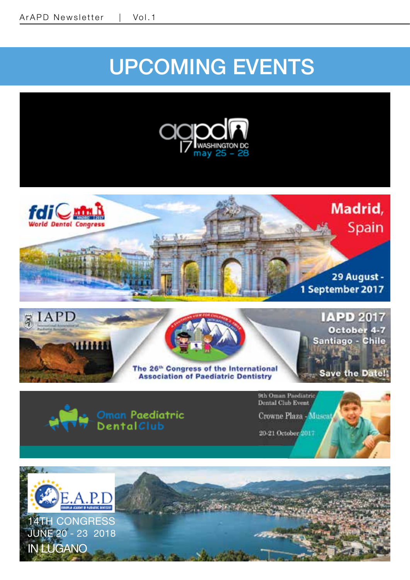# UPCOMING EVENTS

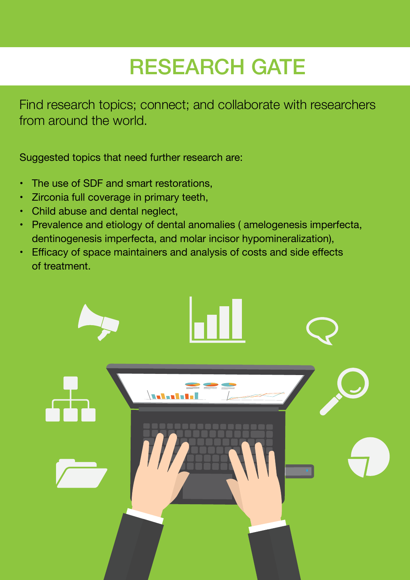# RESEARCH GATE

Find research topics; connect; and collaborate with researchers from around the world.

Suggested topics that need further research are:

- The use of SDF and smart restorations,
- Zirconia full coverage in primary teeth,
- Child abuse and dental neglect,
- Prevalence and etiology of dental anomalies ( amelogenesis imperfecta, dentinogenesis imperfecta, and molar incisor hypomineralization),
- Efficacy of space maintainers and analysis of costs and side effects of treatment.